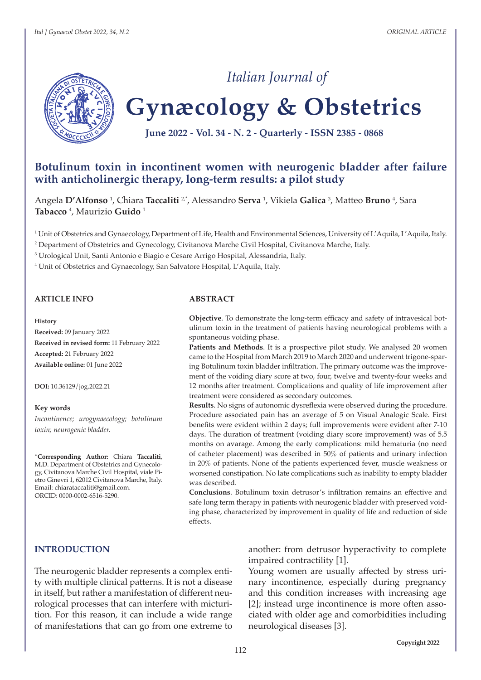

# **Gynæcology & Obstetrics**

*Italian Journal of*

**June 2022 - Vol. 34 - N. 2 - Quarterly - ISSN 2385 - 0868**

# **Botulinum toxin in incontinent women with neurogenic bladder after failure with anticholinergic therapy, long-term results: a pilot study**

Angela **D'Alfonso** <sup>1</sup> , Chiara **Taccaliti** 2,\*, Alessandro **Serva** <sup>1</sup> , Vikiela **Galica** <sup>3</sup> , Matteo **Bruno** <sup>4</sup> , Sara **Tabacco** <sup>4</sup> , Maurizio **Guido** <sup>1</sup>

1 Unit of Obstetrics and Gynaecology, Department of Life, Health and Environmental Sciences, University of L'Aquila, L'Aquila, Italy.

2 Department of Obstetrics and Gynecology, Civitanova Marche Civil Hospital, Civitanova Marche, Italy.

3 Urological Unit, Santi Antonio e Biagio e Cesare Arrigo Hospital, Alessandria, Italy.

4 Unit of Obstetrics and Gynaecology, San Salvatore Hospital, L'Aquila, Italy.

#### **ARTICLE INFO**

#### **History**

**Received:** 09 January 2022 **Received in revised form:** 11 February 2022 **Accepted:** 21 February 2022 **Available online:** 01 June 2022

**DOI:** 10.36129/jog.2022.21

#### **Key words**

*Incontinence; urogynaecology; botulinum toxin; neurogenic bladder.*

**\*Corresponding Author:** Chiara **Taccaliti**, M.D. Department of Obstetrics and Gynecology, Civitanova Marche Civil Hospital, viale Pietro Ginevri 1, 62012 Civitanova Marche, Italy. Email: chiarataccaliti@gmail.com. ORCID: 0000-0002-6516-5290.

#### **ABSTRACT**

**Objective**. To demonstrate the long-term efficacy and safety of intravesical botulinum toxin in the treatment of patients having neurological problems with a spontaneous voiding phase.

**Patients and Methods**. It is a prospective pilot study. We analysed 20 women came to the Hospital from March 2019 to March 2020 and underwent trigone-sparing Botulinum toxin bladder infiltration. The primary outcome was the improvement of the voiding diary score at two, four, twelve and twenty-four weeks and 12 months after treatment. Complications and quality of life improvement after treatment were considered as secondary outcomes.

**Results**. No signs of autonomic dysreflexia were observed during the procedure. Procedure associated pain has an average of 5 on Visual Analogic Scale. First benefits were evident within 2 days; full improvements were evident after 7-10 days. The duration of treatment (voiding diary score improvement) was of 5.5 months on avarage. Among the early complications: mild hematuria (no need of catheter placement) was described in 50% of patients and urinary infection in 20% of patients. None of the patients experienced fever, muscle weakness or worsened constipation. No late complications such as inability to empty bladder was described.

**Conclusions**. Botulinum toxin detrusor's infiltration remains an effective and safe long term therapy in patients with neurogenic bladder with preserved voiding phase, characterized by improvement in quality of life and reduction of side effects.

#### **INTRODUCTION**

The neurogenic bladder represents a complex entity with multiple clinical patterns. It is not a disease in itself, but rather a manifestation of different neurological processes that can interfere with micturition. For this reason, it can include a wide range of manifestations that can go from one extreme to

another: from detrusor hyperactivity to complete impaired contractility [1].

Young women are usually affected by stress urinary incontinence, especially during pregnancy and this condition increases with increasing age [2]; instead urge incontinence is more often associated with older age and comorbidities including neurological diseases [3].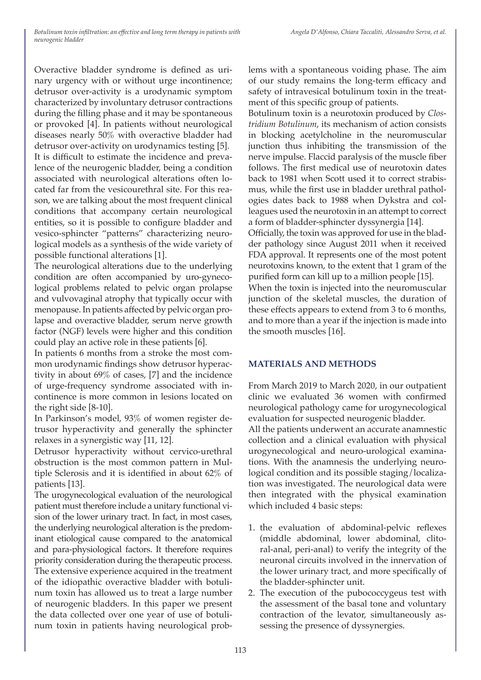Overactive bladder syndrome is defined as urinary urgency with or without urge incontinence; detrusor over-activity is a urodynamic symptom characterized by involuntary detrusor contractions during the filling phase and it may be spontaneous or provoked [4]. In patients without neurological diseases nearly 50% with overactive bladder had detrusor over-activity on urodynamics testing [5]. It is difficult to estimate the incidence and prevalence of the neurogenic bladder, being a condition associated with neurological alterations often located far from the vesicourethral site. For this reason, we are talking about the most frequent clinical conditions that accompany certain neurological entities, so it is possible to configure bladder and vesico-sphincter "patterns" characterizing neurological models as a synthesis of the wide variety of possible functional alterations [1].

The neurological alterations due to the underlying condition are often accompanied by uro-gynecological problems related to pelvic organ prolapse and vulvovaginal atrophy that typically occur with menopause. In patients affected by pelvic organ prolapse and overactive bladder, serum nerve growth factor (NGF) levels were higher and this condition could play an active role in these patients [6].

In patients 6 months from a stroke the most common urodynamic findings show detrusor hyperactivity in about 69% of cases, [7] and the incidence of urge-frequency syndrome associated with incontinence is more common in lesions located on the right side [8-10].

In Parkinson's model, 93% of women register detrusor hyperactivity and generally the sphincter relaxes in a synergistic way [11, 12].

Detrusor hyperactivity without cervico-urethral obstruction is the most common pattern in Multiple Sclerosis and it is identified in about 62% of patients [13].

The urogynecological evaluation of the neurological patient must therefore include a unitary functional vision of the lower urinary tract. In fact, in most cases, the underlying neurological alteration is the predominant etiological cause compared to the anatomical and para-physiological factors. It therefore requires priority consideration during the therapeutic process. The extensive experience acquired in the treatment of the idiopathic overactive bladder with botulinum toxin has allowed us to treat a large number of neurogenic bladders. In this paper we present the data collected over one year of use of botulinum toxin in patients having neurological problems with a spontaneous voiding phase. The aim of our study remains the long-term efficacy and safety of intravesical botulinum toxin in the treatment of this specific group of patients.

Botulinum toxin is a neurotoxin produced by *Clostridium Botulinum*, its mechanism of action consists in blocking acetylcholine in the neuromuscular junction thus inhibiting the transmission of the nerve impulse. Flaccid paralysis of the muscle fiber follows. The first medical use of neurotoxin dates back to 1981 when Scott used it to correct strabismus, while the first use in bladder urethral pathologies dates back to 1988 when Dykstra and colleagues used the neurotoxin in an attempt to correct a form of bladder-sphincter dyssynergia [14].

Officially, the toxin was approved for use in the bladder pathology since August 2011 when it received FDA approval. It represents one of the most potent neurotoxins known, to the extent that 1 gram of the purified form can kill up to a million people [15].

When the toxin is injected into the neuromuscular junction of the skeletal muscles, the duration of these effects appears to extend from 3 to 6 months, and to more than a year if the injection is made into the smooth muscles [16].

# **MATERIALS AND METHODS**

From March 2019 to March 2020, in our outpatient clinic we evaluated 36 women with confirmed neurological pathology came for urogynecological evaluation for suspected neurogenic bladder.

All the patients underwent an accurate anamnestic collection and a clinical evaluation with physical urogynecological and neuro-urological examinations. With the anamnesis the underlying neurological condition and its possible staging/localization was investigated. The neurological data were then integrated with the physical examination which included 4 basic steps:

- 1. the evaluation of abdominal-pelvic reflexes (middle abdominal, lower abdominal, clitoral-anal, peri-anal) to verify the integrity of the neuronal circuits involved in the innervation of the lower urinary tract, and more specifically of the bladder-sphincter unit.
- 2. The execution of the pubococcygeus test with the assessment of the basal tone and voluntary contraction of the levator, simultaneously assessing the presence of dyssynergies.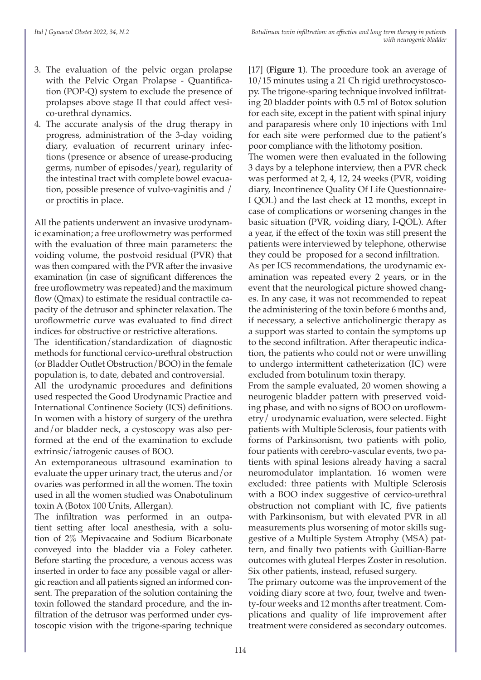- 3. The evaluation of the pelvic organ prolapse with the Pelvic Organ Prolapse - Quantification (POP-Q) system to exclude the presence of prolapses above stage II that could affect vesico-urethral dynamics.
- 4. The accurate analysis of the drug therapy in progress, administration of the 3-day voiding diary, evaluation of recurrent urinary infections (presence or absence of urease-producing germs, number of episodes/year), regularity of the intestinal tract with complete bowel evacuation, possible presence of vulvo-vaginitis and / or proctitis in place.

All the patients underwent an invasive urodynamic examination; a free uroflowmetry was performed with the evaluation of three main parameters: the voiding volume, the postvoid residual (PVR) that was then compared with the PVR after the invasive examination (in case of significant differences the free uroflowmetry was repeated) and the maximum flow (Qmax) to estimate the residual contractile capacity of the detrusor and sphincter relaxation. The uroflowmetric curve was evaluated to find direct indices for obstructive or restrictive alterations.

The identification/standardization of diagnostic methods for functional cervico-urethral obstruction (or Bladder Outlet Obstruction/BOO) in the female population is, to date, debated and controversial.

All the urodynamic procedures and definitions used respected the Good Urodynamic Practice and International Continence Society (ICS) definitions. In women with a history of surgery of the urethra and/or bladder neck, a cystoscopy was also performed at the end of the examination to exclude extrinsic/iatrogenic causes of BOO.

An extemporaneous ultrasound examination to evaluate the upper urinary tract, the uterus and/or ovaries was performed in all the women. The toxin used in all the women studied was Onabotulinum toxin A (Botox 100 Units, Allergan).

The infiltration was performed in an outpatient setting after local anesthesia, with a solution of 2% Mepivacaine and Sodium Bicarbonate conveyed into the bladder via a Foley catheter. Before starting the procedure, a venous access was inserted in order to face any possible vagal or allergic reaction and all patients signed an informed consent. The preparation of the solution containing the toxin followed the standard procedure, and the infiltration of the detrusor was performed under cystoscopic vision with the trigone-sparing technique [17] (**Figure 1**). The procedure took an average of 10/15 minutes using a 21 Ch rigid urethrocystoscopy. The trigone-sparing technique involved infiltrating 20 bladder points with 0.5 ml of Botox solution for each site, except in the patient with spinal injury and paraparesis where only 10 injections with 1ml for each site were performed due to the patient's poor compliance with the lithotomy position.

The women were then evaluated in the following 3 days by a telephone interview, then a PVR check was performed at 2, 4, 12, 24 weeks (PVR, voiding diary, Incontinence Quality Of Life Questionnaire-I QOL) and the last check at 12 months, except in case of complications or worsening changes in the basic situation (PVR, voiding diary, I-QOL). After a year, if the effect of the toxin was still present the patients were interviewed by telephone, otherwise they could be proposed for a second infiltration.

As per ICS recommendations, the urodynamic examination was repeated every 2 years, or in the event that the neurological picture showed changes. In any case, it was not recommended to repeat the administering of the toxin before 6 months and, if necessary, a selective anticholinergic therapy as a support was started to contain the symptoms up to the second infiltration. After therapeutic indication, the patients who could not or were unwilling to undergo intermittent catheterization (IC) were excluded from botulinum toxin therapy.

From the sample evaluated, 20 women showing a neurogenic bladder pattern with preserved voiding phase, and with no signs of BOO on uroflowmetry/ urodynamic evaluation, were selected. Eight patients with Multiple Sclerosis, four patients with forms of Parkinsonism, two patients with polio, four patients with cerebro-vascular events, two patients with spinal lesions already having a sacral neuromodulator implantation. 16 women were excluded: three patients with Multiple Sclerosis with a BOO index suggestive of cervico-urethral obstruction not compliant with IC, five patients with Parkinsonism, but with elevated PVR in all measurements plus worsening of motor skills suggestive of a Multiple System Atrophy (MSA) pattern, and finally two patients with Guillian-Barre outcomes with gluteal Herpes Zoster in resolution. Six other patients, instead, refused surgery.

The primary outcome was the improvement of the voiding diary score at two, four, twelve and twenty-four weeks and 12 months after treatment. Complications and quality of life improvement after treatment were considered as secondary outcomes.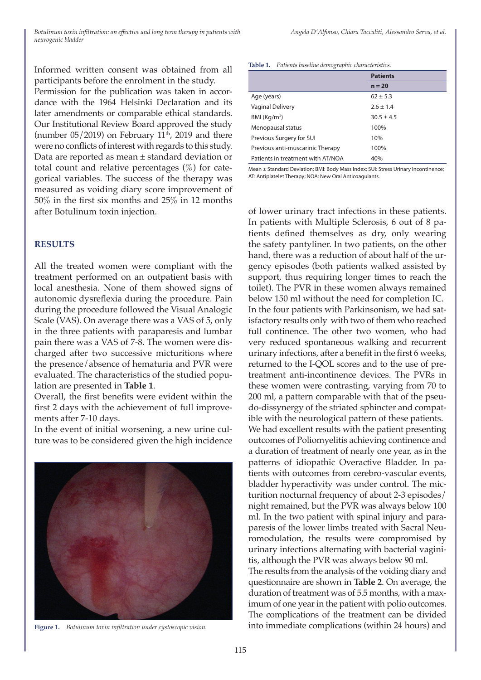Informed written consent was obtained from all participants before the enrolment in the study.

Permission for the publication was taken in accordance with the 1964 Helsinki Declaration and its later amendments or comparable ethical standards. Our Institutional Review Board approved the study (number  $05/2019$ ) on February  $11<sup>th</sup>$ , 2019 and there were no conflicts of interest with regards to this study. Data are reported as mean ± standard deviation or total count and relative percentages  $(\%)$  for categorical variables. The success of the therapy was measured as voiding diary score improvement of 50% in the first six months and 25% in 12 months after Botulinum toxin injection.

#### **RESULTS**

All the treated women were compliant with the treatment performed on an outpatient basis with local anesthesia. None of them showed signs of autonomic dysreflexia during the procedure. Pain during the procedure followed the Visual Analogic Scale (VAS). On average there was a VAS of 5, only in the three patients with paraparesis and lumbar pain there was a VAS of 7-8. The women were discharged after two successive micturitions where the presence/absence of hematuria and PVR were evaluated. The characteristics of the studied population are presented in **Table 1**.

Overall, the first benefits were evident within the first 2 days with the achievement of full improvements after 7-10 days.

In the event of initial worsening, a new urine culture was to be considered given the high incidence



#### **Table 1.** *Patients baseline demographic characteristics.*

|                                   | <b>Patients</b> |  |  |
|-----------------------------------|-----------------|--|--|
|                                   | $n = 20$        |  |  |
| Age (years)                       | $62 + 5.3$      |  |  |
| Vaginal Delivery                  | $2.6 \pm 1.4$   |  |  |
| BMI (Kq/m <sup>2</sup> )          | $30.5 \pm 4.5$  |  |  |
| Menopausal status                 | 100%            |  |  |
| Previous Surgery for SUI          | 10%             |  |  |
| Previous anti-muscarinic Therapy  | 100%            |  |  |
| Patients in treatment with AT/NOA | 40%             |  |  |

Mean ± Standard Deviation; BMI: Body Mass Index; SUI: Stress Urinary Incontinence; AT: Antiplatelet Therapy; NOA: New Oral Anticoagulants.

of lower urinary tract infections in these patients. In patients with Multiple Sclerosis, 6 out of 8 patients defined themselves as dry, only wearing the safety pantyliner. In two patients, on the other hand, there was a reduction of about half of the urgency episodes (both patients walked assisted by support, thus requiring longer times to reach the toilet). The PVR in these women always remained below 150 ml without the need for completion IC. In the four patients with Parkinsonism, we had satisfactory results only with two of them who reached full continence. The other two women, who had very reduced spontaneous walking and recurrent urinary infections, after a benefit in the first 6 weeks, returned to the I-QOL scores and to the use of pretreatment anti-incontinence devices. The PVRs in these women were contrasting, varying from 70 to 200 ml, a pattern comparable with that of the pseudo-dissynergy of the striated sphincter and compatible with the neurological pattern of these patients. We had excellent results with the patient presenting outcomes of Poliomyelitis achieving continence and a duration of treatment of nearly one year, as in the patterns of idiopathic Overactive Bladder. In patients with outcomes from cerebro-vascular events, bladder hyperactivity was under control. The micturition nocturnal frequency of about 2-3 episodes/ night remained, but the PVR was always below 100 ml. In the two patient with spinal injury and paraparesis of the lower limbs treated with Sacral Neuromodulation, the results were compromised by urinary infections alternating with bacterial vaginitis, although the PVR was always below 90 ml. The results from the analysis of the voiding diary and

questionnaire are shown in **Table 2**. On average, the duration of treatment was of 5.5 months, with a maximum of one year in the patient with polio outcomes. The complications of the treatment can be divided **Figure 1.** *Botulinum toxin infiltration under cystoscopic vision.* into immediate complications (within 24 hours) and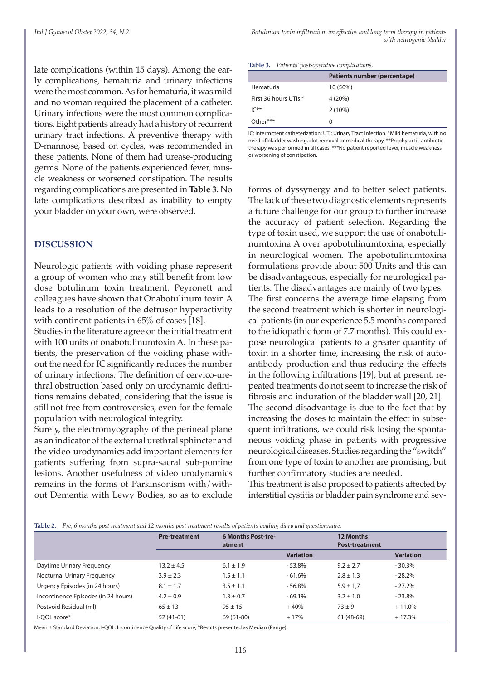late complications (within 15 days). Among the early complications, hematuria and urinary infections were the most common. As for hematuria, it was mild and no woman required the placement of a catheter. Urinary infections were the most common complications. Eight patients already had a history of recurrent urinary tract infections. A preventive therapy with D-mannose, based on cycles, was recommended in these patients. None of them had urease-producing germs. None of the patients experienced fever, muscle weakness or worsened constipation. The results regarding complications are presented in **Table 3**. No late complications described as inability to empty your bladder on your own, were observed.

#### **DISCUSSION**

Neurologic patients with voiding phase represent a group of women who may still benefit from low dose botulinum toxin treatment. Peyronett and colleagues have shown that Onabotulinum toxin A leads to a resolution of the detrusor hyperactivity with continent patients in 65% of cases [18].

Studies in the literature agree on the initial treatment with 100 units of onabotulinumtoxin A. In these patients, the preservation of the voiding phase without the need for IC significantly reduces the number of urinary infections. The definition of cervico-urethral obstruction based only on urodynamic definitions remains debated, considering that the issue is still not free from controversies, even for the female population with neurological integrity.

Surely, the electromyography of the perineal plane as an indicator of the external urethral sphincter and the video-urodynamics add important elements for patients suffering from supra-sacral sub-pontine lesions. Another usefulness of video urodynamics remains in the forms of Parkinsonism with/without Dementia with Lewy Bodies, so as to exclude

|                       | Patients number (percentage) |
|-----------------------|------------------------------|
| Hematuria             | 10 (50%)                     |
| First 36 hours UTIs * | 4(20%)                       |
| $IC**$                | 2(10%)                       |
| $Other***$            | 0                            |
|                       |                              |

IC: intermittent catheterization; UTI: Urinary Tract Infection. \*Mild hematuria, with no need of bladder washing, clot removal or medical therapy. \*\*Prophylactic antibiotic therapy was performed in all cases. \*\*\*No patient reported fever, muscle weakness or worsening of constipation.

forms of dyssynergy and to better select patients. The lack of these two diagnostic elements represents a future challenge for our group to further increase the accuracy of patient selection. Regarding the type of toxin used, we support the use of onabotulinumtoxina A over apobotulinumtoxina, especially in neurological women. The apobotulinumtoxina formulations provide about 500 Units and this can be disadvantageous, especially for neurological patients. The disadvantages are mainly of two types. The first concerns the average time elapsing from the second treatment which is shorter in neurological patients (in our experience 5.5 months compared to the idiopathic form of 7.7 months). This could expose neurological patients to a greater quantity of toxin in a shorter time, increasing the risk of autoantibody production and thus reducing the effects in the following infiltrations [19], but at present, repeated treatments do not seem to increase the risk of fibrosis and induration of the bladder wall [20, 21]. The second disadvantage is due to the fact that by increasing the doses to maintain the effect in subsequent infiltrations, we could risk losing the spontaneous voiding phase in patients with progressive neurological diseases. Studies regarding the "switch" from one type of toxin to another are promising, but further confirmatory studies are needed.

This treatment is also proposed to patients affected by interstitial cystitis or bladder pain syndrome and sev-

|                                     | <b>Pre-treatment</b> | <b>6 Months Post-tre-</b><br>atment |                  | <b>12 Months</b><br><b>Post-treatment</b> |                  |
|-------------------------------------|----------------------|-------------------------------------|------------------|-------------------------------------------|------------------|
|                                     |                      |                                     | <b>Variation</b> |                                           | <b>Variation</b> |
| Daytime Urinary Frequency           | $13.2 \pm 4.5$       | $6.1 \pm 1.9$                       | $-53.8%$         | $9.2 + 2.7$                               | $-30.3%$         |
| <b>Nocturnal Urinary Frequency</b>  | $3.9 \pm 2.3$        | $1.5 \pm 1.1$                       | $-61.6%$         | $2.8 \pm 1.3$                             | $-28.2%$         |
| Urgency Episodes (in 24 hours)      | $8.1 \pm 1.7$        | $3.5 \pm 1.1$                       | $-56.8%$         | $5.9 \pm 1.7$                             | $-27.2%$         |
| Incontinence Episodes (in 24 hours) | $4.2 \pm 0.9$        | $1.3 \pm 0.7$                       | $-69.1%$         | $3.2 \pm 1.0$                             | $-23.8%$         |
| Postvoid Residual (ml)              | $65 \pm 13$          | $95 \pm 15$                         | $+40%$           | $73 + 9$                                  | $+11.0%$         |
| I-OOL score*                        | $52(41-61)$          | 69 (61-80)                          | $+17%$           | $61(48-69)$                               | $+17.3%$         |

Mean ± Standard Deviation; I-QOL: Incontinence Quality of Life score; \*Results presented as Median (Range).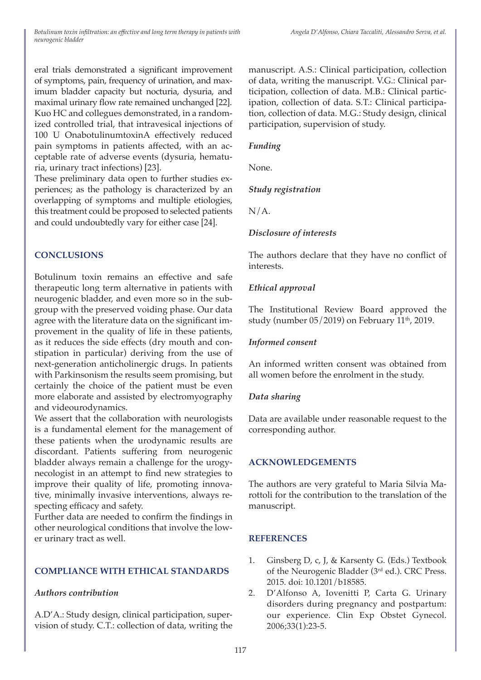eral trials demonstrated a significant improvement of symptoms, pain, frequency of urination, and maximum bladder capacity but nocturia, dysuria, and maximal urinary flow rate remained unchanged [22]. Kuo HC and collegues demonstrated, in a randomized controlled trial, that intravesical injections of 100 U OnabotulinumtoxinA effectively reduced pain symptoms in patients affected, with an acceptable rate of adverse events (dysuria, hematuria, urinary tract infections) [23].

These preliminary data open to further studies experiences; as the pathology is characterized by an overlapping of symptoms and multiple etiologies, this treatment could be proposed to selected patients and could undoubtedly vary for either case [24].

# **CONCLUSIONS**

Botulinum toxin remains an effective and safe therapeutic long term alternative in patients with neurogenic bladder, and even more so in the subgroup with the preserved voiding phase. Our data agree with the literature data on the significant improvement in the quality of life in these patients, as it reduces the side effects (dry mouth and constipation in particular) deriving from the use of next-generation anticholinergic drugs. In patients with Parkinsonism the results seem promising, but certainly the choice of the patient must be even more elaborate and assisted by electromyography and videourodynamics.

We assert that the collaboration with neurologists is a fundamental element for the management of these patients when the urodynamic results are discordant. Patients suffering from neurogenic bladder always remain a challenge for the urogynecologist in an attempt to find new strategies to improve their quality of life, promoting innovative, minimally invasive interventions, always respecting efficacy and safety.

Further data are needed to confirm the findings in other neurological conditions that involve the lower urinary tract as well.

# **COMPLIANCE WITH ETHICAL STANDARDS**

# *Authors contribution*

A.D'A.: Study design, clinical participation, supervision of study. C.T.: collection of data, writing the manuscript. A.S.: Clinical participation, collection of data, writing the manuscript. V.G.: Clinical participation, collection of data. M.B.: Clinical participation, collection of data. S.T.: Clinical participation, collection of data. M.G.: Study design, clinical participation, supervision of study.

## *Funding*

None.

# *Study registration*

 $N/A$ .

# *Disclosure of interests*

The authors declare that they have no conflict of interests.

# *Ethical approval*

The Institutional Review Board approved the study (number  $05/2019$ ) on February  $11<sup>th</sup>$ , 2019.

### *Informed consent*

An informed written consent was obtained from all women before the enrolment in the study.

#### *Data sharing*

Data are available under reasonable request to the corresponding author.

# **ACKNOWLEDGEMENTS**

The authors are very grateful to Maria Silvia Marottoli for the contribution to the translation of the manuscript.

#### **REFERENCES**

- 1. Ginsberg D, c, J, & Karsenty G. (Eds.) Textbook of the Neurogenic Bladder (3rd ed.). CRC Press. 2015. doi: 10.1201/b18585.
- 2. D'Alfonso A, Iovenitti P, Carta G. Urinary disorders during pregnancy and postpartum: our experience. Clin Exp Obstet Gynecol. 2006;33(1):23-5.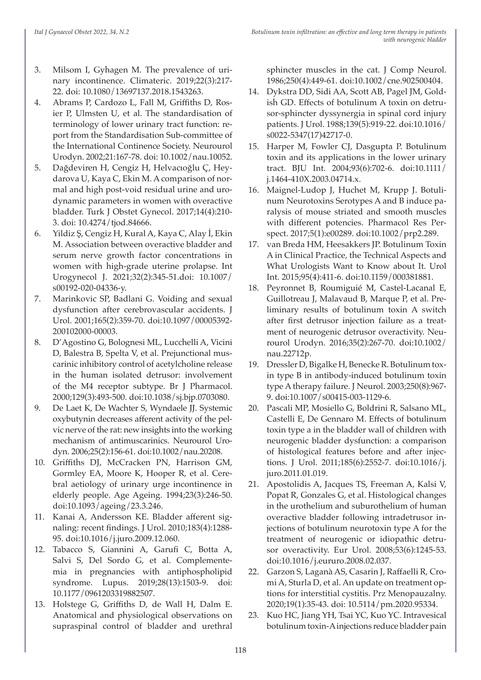- 3. Milsom I, Gyhagen M. The prevalence of urinary incontinence. Climateric. 2019;22(3):217- 22. doi: 10.1080/13697137.2018.1543263.
- 4. Abrams P, Cardozo L, Fall M, Griffiths D, Rosier P, Ulmsten U, et al. The standardisation of terminology of lower urinary tract function: report from the Standardisation Sub-committee of the International Continence Society. Neurourol Urodyn. 2002;21:167-78. doi: 10.1002/nau.10052.
- 5. Dağdeviren H, Cengiz H, Helvacıoğlu Ç, Heydarova U, Kaya C, Ekin M. A comparison of normal and high post-void residual urine and urodynamic parameters in women with overactive bladder. Turk J Obstet Gynecol. 2017;14(4):210- 3. doi: 10.4274/tjod.84666.
- 6. Yildiz Ş, Cengiz H, Kural A, Kaya C, Alay İ, Ekin M. Association between overactive bladder and serum nerve growth factor concentrations in women with high-grade uterine prolapse. Int Urogynecol J. 2021;32(2):345-51.doi: 10.1007/ s00192-020-04336-y.
- 7. Marinkovic SP, Badlani G. Voiding and sexual dysfunction after cerebrovascular accidents. J Urol. 2001;165(2):359-70. doi:10.1097/00005392- 200102000-00003.
- 8. D'Agostino G, Bolognesi ML, Lucchelli A, Vicini D, Balestra B, Spelta V, et al. Prejunctional muscarinic inhibitory control of acetylcholine release in the human isolated detrusor: involvement of the M4 receptor subtype. Br J Pharmacol. 2000;129(3):493-500. doi:10.1038/sj.bjp.0703080.
- 9. De Laet K, De Wachter S, Wyndaele JJ. Systemic oxybutynin decreases afferent activity of the pelvic nerve of the rat: new insights into the working mechanism of antimuscarinics. Neurourol Urodyn. 2006;25(2):156-61. doi:10.1002/nau.20208.
- 10. Griffiths DJ, McCracken PN, Harrison GM, Gormley EA, Moore K, Hooper R, et al. Cerebral aetiology of urinary urge incontinence in elderly people. Age Ageing. 1994;23(3):246-50. doi:10.1093/ageing/23.3.246.
- 11. Kanai A, Andersson KE. Bladder afferent signaling: recent findings. J Urol. 2010;183(4):1288- 95. doi:10.1016/j.juro.2009.12.060.
- 12. Tabacco S, Giannini A, Garufi C, Botta A, Salvi S, Del Sordo G, et al. Complementemia in pregnancies with antiphospholipid syndrome. Lupus. 2019;28(13):1503-9. doi: 10.1177/0961203319882507.
- 13. Holstege G, Griffiths D, de Wall H, Dalm E. Anatomical and physiological observations on supraspinal control of bladder and urethral

sphincter muscles in the cat. J Comp Neurol. 1986;250(4):449-61. doi:10.1002/cne.902500404.

- 14. Dykstra DD, Sidi AA, Scott AB, Pagel JM, Goldish GD. Effects of botulinum A toxin on detrusor-sphincter dyssynergia in spinal cord injury patients. J Urol. 1988;139(5):919-22. doi:10.1016/ s0022-5347(17)42717-0.
- 15. Harper M, Fowler CJ, Dasgupta P. Botulinum toxin and its applications in the lower urinary tract. BJU Int. 2004;93(6):702-6. doi:10.1111/ j.1464-410X.2003.04714.x.
- 16. Maignel-Ludop J, Huchet M, Krupp J. Botulinum Neurotoxins Serotypes A and B induce paralysis of mouse striated and smooth muscles with different potencies. Pharmacol Res Perspect. 2017;5(1):e00289. doi:10.1002/prp2.289.
- 17. van Breda HM, Heesakkers JP. Botulinum Toxin A in Clinical Practice, the Technical Aspects and What Urologists Want to Know about It. Urol Int. 2015;95(4):411-6. doi:10.1159/000381881.
- 18. Peyronnet B, Roumiguié M, Castel-Lacanal E, Guillotreau J, Malavaud B, Marque P, et al. Preliminary results of botulinum toxin A switch after first detrusor injection failure as a treatment of neurogenic detrusor overactivity. Neurourol Urodyn. 2016;35(2):267-70. doi:10.1002/ nau.22712p.
- 19. Dressler D, Bigalke H, Benecke R. Botulinum toxin type B in antibody-induced botulinum toxin type A therapy failure. J Neurol. 2003;250(8):967- 9. doi:10.1007/s00415-003-1129-6.
- 20. Pascali MP, Mosiello G, Boldrini R, Salsano ML, Castelli E, De Gennaro M. Effects of botulinum toxin type a in the bladder wall of children with neurogenic bladder dysfunction: a comparison of histological features before and after injections. J Urol. 2011;185(6):2552-7. doi:10.1016/j. juro.2011.01.019.
- 21. Apostolidis A, Jacques TS, Freeman A, Kalsi V, Popat R, Gonzales G, et al. Histological changes in the urothelium and suburothelium of human overactive bladder following intradetrusor injections of botulinum neurotoxin type A for the treatment of neurogenic or idiopathic detrusor overactivity. Eur Urol. 2008;53(6):1245-53. doi:10.1016/j.eururo.2008.02.037.
- 22. Garzon S, Laganà AS, Casarin J, Raffaelli R, Cromi A, Sturla D, et al. An update on treatment options for interstitial cystitis. Prz Menopauzalny. 2020;19(1):35-43. doi: 10.5114/pm.2020.95334.
- 23. Kuo HC, Jiang YH, Tsai YC, Kuo YC. Intravesical botulinum toxin-A injections reduce bladder pain